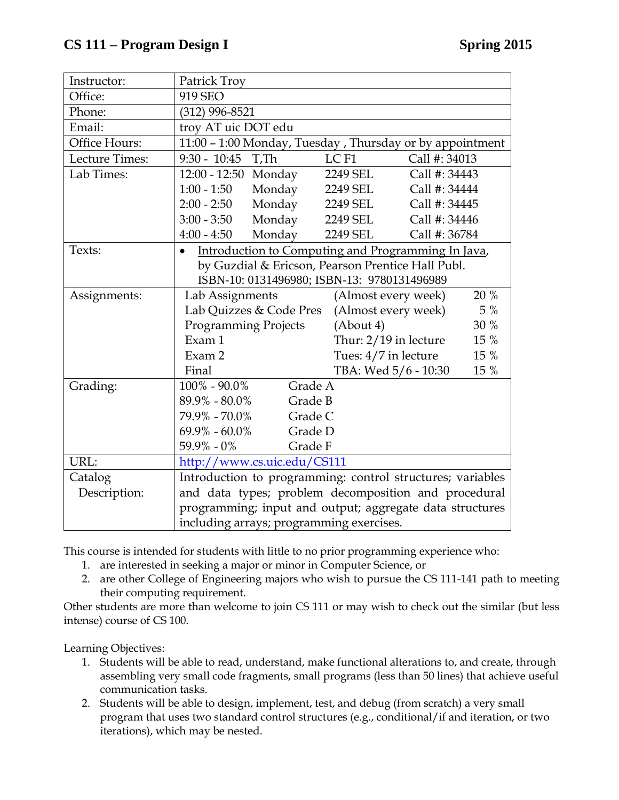| Instructor:    | Patrick Troy                                                                                                         |                                             |                            |               |      |
|----------------|----------------------------------------------------------------------------------------------------------------------|---------------------------------------------|----------------------------|---------------|------|
| Office:        | 919 SEO                                                                                                              |                                             |                            |               |      |
| Phone:         | (312) 996-8521                                                                                                       |                                             |                            |               |      |
| Email:         | troy AT uic DOT edu                                                                                                  |                                             |                            |               |      |
| Office Hours:  | 11:00 - 1:00 Monday, Tuesday, Thursday or by appointment                                                             |                                             |                            |               |      |
| Lecture Times: | $9:30 - 10:45$                                                                                                       | T.Th                                        | LC <sub>F1</sub>           | Call #: 34013 |      |
| Lab Times:     | 12:00 - 12:50 Monday                                                                                                 |                                             | 2249 SEL                   | Call #: 34443 |      |
|                | $1:00 - 1:50$                                                                                                        | Monday                                      | 2249 SEL                   | Call #: 34444 |      |
|                | $2:00 - 2:50$                                                                                                        | Monday                                      | 2249 SEL                   | Call #: 34445 |      |
|                | $3:00 - 3:50$                                                                                                        | Monday                                      | 2249 SEL                   | Call #: 34446 |      |
|                | $4:00 - 4:50$                                                                                                        | Monday                                      | 2249 SEL                   | Call #: 36784 |      |
| Texts:         | Introduction to Computing and Programming In Java,<br>$\bullet$<br>by Guzdial & Ericson, Pearson Prentice Hall Publ. |                                             |                            |               |      |
|                |                                                                                                                      |                                             |                            |               |      |
|                |                                                                                                                      | ISBN-10: 0131496980; ISBN-13: 9780131496989 |                            |               |      |
| Assignments:   | Lab Assignments                                                                                                      |                                             | (Almost every week)        |               | 20 % |
|                | Lab Quizzes & Code Pres                                                                                              |                                             | 5 %<br>(Almost every week) |               |      |
|                | <b>Programming Projects</b>                                                                                          |                                             | 30 %<br>$(A$ bout 4)       |               |      |
|                | Exam 1                                                                                                               |                                             | Thur: 2/19 in lecture      |               | 15 % |
|                | Exam 2                                                                                                               |                                             | Tues: 4/7 in lecture       |               | 15 % |
|                | Final                                                                                                                |                                             | TBA: Wed 5/6 - 10:30       |               | 15 % |
| Grading:       | $100\% - 90.0\%$<br>Grade A                                                                                          |                                             |                            |               |      |
|                | $89.9\% - 80.0\%$<br>Grade B                                                                                         |                                             |                            |               |      |
|                | 79.9% - 70.0%                                                                                                        | Grade C                                     |                            |               |      |
|                | $69.9\% - 60.0\%$<br>Grade D                                                                                         |                                             |                            |               |      |
|                | $59.9\% - 0\%$                                                                                                       | Grade F                                     |                            |               |      |
| URL:           | http://www.cs.uic.edu/CS111                                                                                          |                                             |                            |               |      |
| Catalog        | Introduction to programming: control structures; variables                                                           |                                             |                            |               |      |
| Description:   | and data types; problem decomposition and procedural                                                                 |                                             |                            |               |      |
|                | programming; input and output; aggregate data structures                                                             |                                             |                            |               |      |
|                | including arrays; programming exercises.                                                                             |                                             |                            |               |      |

This course is intended for students with little to no prior programming experience who:

- 1. are interested in seeking a major or minor in Computer Science, or
- 2. are other College of Engineering majors who wish to pursue the CS 111-141 path to meeting their computing requirement.

Other students are more than welcome to join CS 111 or may wish to check out the similar (but less intense) course of CS 100.

Learning Objectives:

- 1. Students will be able to read, understand, make functional alterations to, and create, through assembling very small code fragments, small programs (less than 50 lines) that achieve useful communication tasks.
- 2. Students will be able to design, implement, test, and debug (from scratch) a very small program that uses two standard control structures (e.g., conditional/if and iteration, or two iterations), which may be nested.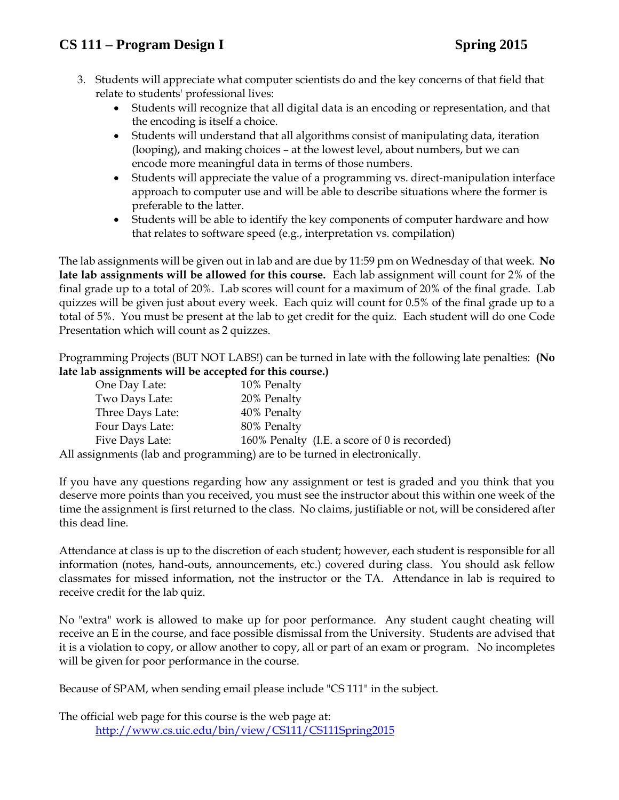## **CS 111 – Program Design I Spring 2015**

- 3. Students will appreciate what computer scientists do and the key concerns of that field that relate to students' professional lives:
	- Students will recognize that all digital data is an encoding or representation, and that the encoding is itself a choice.
	- Students will understand that all algorithms consist of manipulating data, iteration (looping), and making choices – at the lowest level, about numbers, but we can encode more meaningful data in terms of those numbers.
	- Students will appreciate the value of a programming vs. direct-manipulation interface approach to computer use and will be able to describe situations where the former is preferable to the latter.
	- Students will be able to identify the key components of computer hardware and how that relates to software speed (e.g., interpretation vs. compilation)

The lab assignments will be given out in lab and are due by 11:59 pm on Wednesday of that week. **No late lab assignments will be allowed for this course.** Each lab assignment will count for 2% of the final grade up to a total of 20%. Lab scores will count for a maximum of 20% of the final grade. Lab quizzes will be given just about every week. Each quiz will count for 0.5% of the final grade up to a total of 5%. You must be present at the lab to get credit for the quiz. Each student will do one Code Presentation which will count as 2 quizzes.

Programming Projects (BUT NOT LABS!) can be turned in late with the following late penalties: **(No late lab assignments will be accepted for this course.)**

| One Day Late:    | 10% Penalty                                                               |
|------------------|---------------------------------------------------------------------------|
| Two Days Late:   | 20% Penalty                                                               |
| Three Days Late: | 40% Penalty                                                               |
| Four Days Late:  | 80% Penalty                                                               |
| Five Days Late:  | 160% Penalty (I.E. a score of 0 is recorded)                              |
|                  | All assignments (lab and programming) are to be turned in electronically. |

If you have any questions regarding how any assignment or test is graded and you think that you deserve more points than you received, you must see the instructor about this within one week of the time the assignment is first returned to the class. No claims, justifiable or not, will be considered after this dead line.

Attendance at class is up to the discretion of each student; however, each student is responsible for all information (notes, hand-outs, announcements, etc.) covered during class. You should ask fellow classmates for missed information, not the instructor or the TA. Attendance in lab is required to receive credit for the lab quiz.

No "extra" work is allowed to make up for poor performance. Any student caught cheating will receive an E in the course, and face possible dismissal from the University. Students are advised that it is a violation to copy, or allow another to copy, all or part of an exam or program. No incompletes will be given for poor performance in the course.

Because of SPAM, when sending email please include "CS 111" in the subject.

The official web page for this course is the web page at: <http://www.cs.uic.edu/bin/view/CS111/CS111Spring2015>